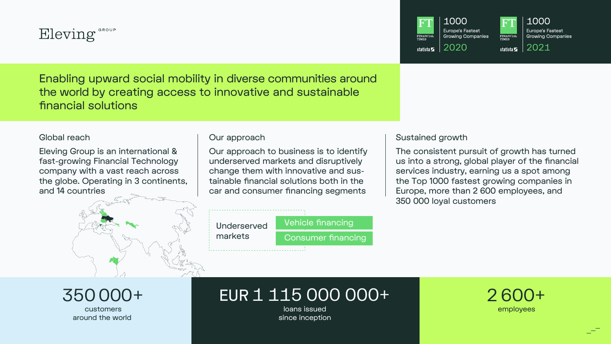

Enabling upward social mobility in diverse communities around the world by creating access to innovative and sustainable financial solutions

Global reach

Eleving Group is an international & fast-growing Financial Technology company with a vast reach across the globe. Operating in 3 continents, and 14 countries

Our approach

Our approach to business is to identify underserved markets and disruptively change them with innovative and sustainable financial solutions both in the car and consumer financing segments



## Sustained growth

The consistent pursuit of growth has turned us into a strong, global player of the financial services industry, earning us a spot among the Top 1000 fastest growing companies in Europe, more than 2 600 employees, and 350 000 loyal customers

# EUR 1 115 000 000+

loans issued since inception



1000 Europe's Fastest **Growing Companies** 



1000 **Europe's Fastest Growing Companies** 

2020 statista $\frac{1}{2}$  2021



350000+ customers

around the world

Underserved markets



# Vehicle financing

Consumer financing